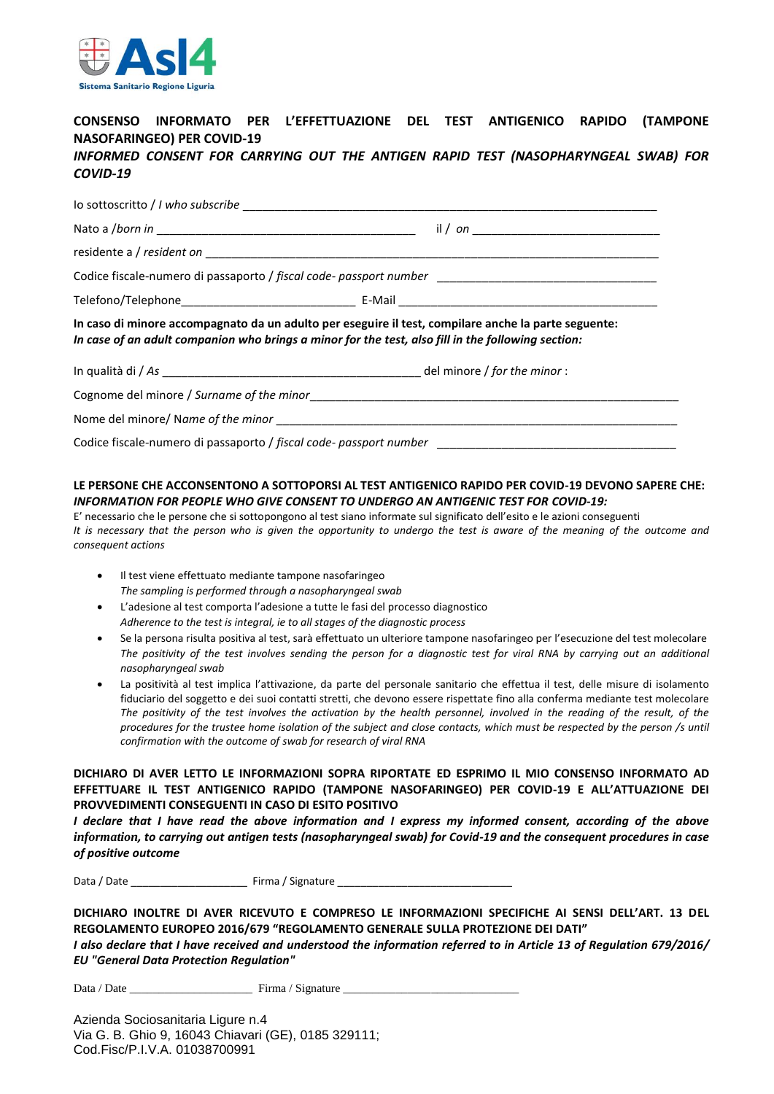

## **CONSENSO INFORMATO PER L'EFFETTUAZIONE DEL TEST ANTIGENICO RAPIDO (TAMPONE NASOFARINGEO) PER COVID-19** *INFORMED CONSENT FOR CARRYING OUT THE ANTIGEN RAPID TEST (NASOPHARYNGEAL SWAB) FOR*

# *COVID-19*

|                                                                                                                                                                                                            | Codice fiscale-numero di passaporto / fiscal code- passport number _________________________________ |
|------------------------------------------------------------------------------------------------------------------------------------------------------------------------------------------------------------|------------------------------------------------------------------------------------------------------|
|                                                                                                                                                                                                            |                                                                                                      |
| In caso di minore accompagnato da un adulto per eseguire il test, compilare anche la parte seguente:<br>In case of an adult companion who brings a minor for the test, also fill in the following section: |                                                                                                      |
|                                                                                                                                                                                                            |                                                                                                      |
|                                                                                                                                                                                                            |                                                                                                      |
|                                                                                                                                                                                                            |                                                                                                      |
|                                                                                                                                                                                                            |                                                                                                      |

#### **LE PERSONE CHE ACCONSENTONO A SOTTOPORSI AL TEST ANTIGENICO RAPIDO PER COVID-19 DEVONO SAPERE CHE:** *INFORMATION FOR PEOPLE WHO GIVE CONSENT TO UNDERGO AN ANTIGENIC TEST FOR COVID-19:*

E' necessario che le persone che si sottopongono al test siano informate sul significato dell'esito e le azioni conseguenti *It is necessary that the person who is given the opportunity to undergo the test is aware of the meaning of the outcome and consequent actions*

- Il test viene effettuato mediante tampone nasofaringeo *The sampling is performed through a nasopharyngeal swab*
- L'adesione al test comporta l'adesione a tutte le fasi del processo diagnostico *Adherence to the test is integral, ie to all stages of the diagnostic process*
- Se la persona risulta positiva al test, sarà effettuato un ulteriore tampone nasofaringeo per l'esecuzione del test molecolare *The positivity of the test involves sending the person for a diagnostic test for viral RNA by carrying out an additional nasopharyngeal swab*
- La positività al test implica l'attivazione, da parte del personale sanitario che effettua il test, delle misure di isolamento fiduciario del soggetto e dei suoi contatti stretti, che devono essere rispettate fino alla conferma mediante test molecolare *The positivity of the test involves the activation by the health personnel, involved in the reading of the result, of the procedures for the trustee home isolation of the subject and close contacts, which must be respected by the person /s until confirmation with the outcome of swab for research of viral RNA*

### **DICHIARO DI AVER LETTO LE INFORMAZIONI SOPRA RIPORTATE ED ESPRIMO IL MIO CONSENSO INFORMATO AD EFFETTUARE IL TEST ANTIGENICO RAPIDO (TAMPONE NASOFARINGEO) PER COVID-19 E ALL'ATTUAZIONE DEI PROVVEDIMENTI CONSEGUENTI IN CASO DI ESITO POSITIVO**

*I declare that I have read the above information and I express my informed consent, according of the above information, to carrying out antigen tests (nasopharyngeal swab) for Covid-19 and the consequent procedures in case of positive outcome*

Data / Date \_\_\_\_\_\_\_\_\_\_\_\_\_\_\_\_\_\_\_\_ Firma / Signature \_\_\_\_\_\_\_\_\_\_\_\_\_\_\_\_\_\_\_\_\_\_\_\_\_\_\_\_\_\_

**DICHIARO INOLTRE DI AVER RICEVUTO E COMPRESO LE INFORMAZIONI SPECIFICHE AI SENSI DELL'ART. 13 DEL REGOLAMENTO EUROPEO 2016/679 "REGOLAMENTO GENERALE SULLA PROTEZIONE DEI DATI"**

*I also declare that I have received and understood the information referred to in Article 13 of Regulation 679/2016/ EU "General Data Protection Regulation"*

Data / Date \_\_\_\_\_\_\_\_\_\_\_\_\_\_\_\_\_\_\_\_\_ Firma / Signature \_\_\_\_\_\_\_\_\_\_\_\_\_\_\_\_\_\_\_\_\_\_\_\_\_\_\_\_\_\_

Azienda Sociosanitaria Ligure n.4 Via G. B. Ghio 9, 16043 Chiavari (GE), 0185 329111; Cod.Fisc/P.I.V.A. 01038700991